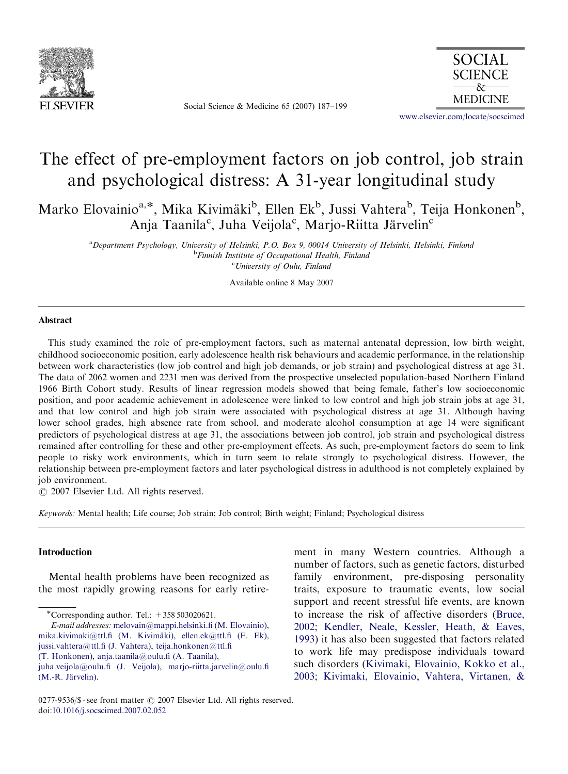

Social Science & Medicine 65 (2007) 187–199



<www.elsevier.com/locate/socscimed>

## The effect of pre-employment factors on job control, job strain and psychological distress: A 31-year longitudinal study

Marko Elovainio<sup>a,\*</sup>, Mika Kivimäki<sup>b</sup>, Ellen Ek<sup>b</sup>, Jussi Vahtera<sup>b</sup>, Teija Honkonen<sup>b</sup>, Anja Taanila<sup>c</sup>, Juha Veijola<sup>c</sup>, Marjo-Riitta Järvelin<sup>c</sup>

a Department Psychology, University of Helsinki, P.O. Box 9, 00014 University of Helsinki, Helsinki, Finland <sup>b</sup>Finnish Institute of Occupational Health, Finland <sup>c</sup>University of Oulu, Finland

Available online 8 May 2007

## Abstract

This study examined the role of pre-employment factors, such as maternal antenatal depression, low birth weight, childhood socioeconomic position, early adolescence health risk behaviours and academic performance, in the relationship between work characteristics (low job control and high job demands, or job strain) and psychological distress at age 31. The data of 2062 women and 2231 men was derived from the prospective unselected population-based Northern Finland 1966 Birth Cohort study. Results of linear regression models showed that being female, father's low socioeconomic position, and poor academic achievement in adolescence were linked to low control and high job strain jobs at age 31, and that low control and high job strain were associated with psychological distress at age 31. Although having lower school grades, high absence rate from school, and moderate alcohol consumption at age 14 were significant predictors of psychological distress at age 31, the associations between job control, job strain and psychological distress remained after controlling for these and other pre-employment effects. As such, pre-employment factors do seem to link people to risky work environments, which in turn seem to relate strongly to psychological distress. However, the relationship between pre-employment factors and later psychological distress in adulthood is not completely explained by job environment.

 $O$  2007 Elsevier Ltd. All rights reserved.

Keywords: Mental health; Life course; Job strain; Job control; Birth weight; Finland; Psychological distress

## Introduction

Mental health problems have been recognized as the most rapidly growing reasons for early retire-

-Corresponding author. Tel.: +358 503020621.

E-mail addresses: [melovain@mappi.helsinki.fi \(M. Elovainio\),](mailto:melovain@mappi.helsinki.fi) mika.kivimaki@ttl.fi (M. Kivimäki), [ellen.ek@ttl.fi \(E. Ek\),](mailto:ellen.ek@ttl.fi) [jussi.vahtera@ttl.fi \(J. Vahtera\),](mailto:jussi.vahtera@ttl.fi) [teija.honkonen@ttl.fi](mailto:teija.honkonen@ttl.fi) [\(T. Honkonen\),](mailto:teija.honkonen@ttl.fi) [anja.taanila@oulu.fi \(A. Taanila\),](mailto:anja.taanila@oulu.fi)

[juha.veijola@oulu.fi \(J. Veijola\)](mailto:juha.veijola@oulu.fi), [marjo-riitta.jarvelin@oulu.fi](mailto:marjo-riitta.jarvelin@oulu.fi) (M.-R. Järvelin).

ment in many Western countries. Although a number of factors, such as genetic factors, disturbed family environment, pre-disposing personality traits, exposure to traumatic events, low social support and recent stressful life events, are known to increase the risk of affective disorders ([Bruce,](#page--1-0) [2002;](#page--1-0) [Kendler, Neale, Kessler, Heath, & Eaves,](#page--1-0) [1993\)](#page--1-0) it has also been suggested that factors related to work life may predispose individuals toward such disorders ([Kivimaki, Elovainio, Kokko et al.,](#page--1-0) [2003;](#page--1-0) [Kivimaki, Elovainio, Vahtera, Virtanen,](#page--1-0) &

<sup>0277-9536/\$ -</sup> see front matter  $\odot$  2007 Elsevier Ltd. All rights reserved. doi:[10.1016/j.socscimed.2007.02.052](dx.doi.org/10.1016/j.socscimed.2007.02.052)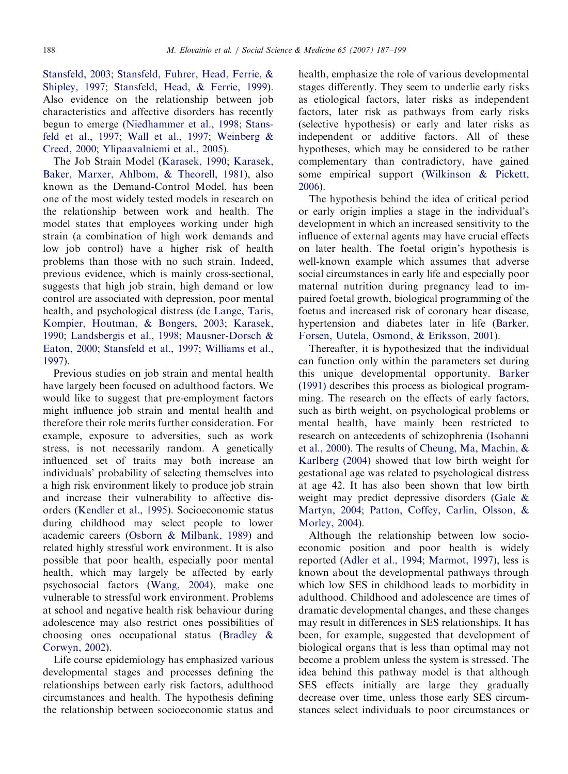[Stansfeld, 2003](#page--1-0); [Stansfeld, Fuhrer, Head, Ferrie, &](#page--1-0) [Shipley, 1997;](#page--1-0) [Stansfeld, Head, & Ferrie, 1999](#page--1-0)). Also evidence on the relationship between job characteristics and affective disorders has recently begun to emerge ([Niedhammer et al., 1998](#page--1-0); [Stans](#page--1-0)[feld et al., 1997](#page--1-0); [Wall et al., 1997;](#page--1-0) Weinberg  $\&$ [Creed, 2000](#page--1-0); [Ylipaavalniemi et al., 2005\)](#page--1-0).

The Job Strain Model [\(Karasek, 1990](#page--1-0); [Karasek,](#page--1-0) [Baker, Marxer, Ahlbom,](#page--1-0) [& Theorell, 1981\)](#page--1-0), also known as the Demand-Control Model, has been one of the most widely tested models in research on the relationship between work and health. The model states that employees working under high strain (a combination of high work demands and low job control) have a higher risk of health problems than those with no such strain. Indeed, previous evidence, which is mainly cross-sectional, suggests that high job strain, high demand or low control are associated with depression, poor mental health, and psychological distress ([de Lange, Taris,](#page--1-0) [Kompier, Houtman,](#page--1-0) & [Bongers, 2003](#page--1-0); [Karasek,](#page--1-0) [1990](#page--1-0); [Landsbergis et al., 1998;](#page--1-0) [Mausner-Dorsch &](#page--1-0) [Eaton, 2000](#page--1-0); [Stansfeld et al., 1997](#page--1-0); [Williams et al.,](#page--1-0) [1997](#page--1-0)).

Previous studies on job strain and mental health have largely been focused on adulthood factors. We would like to suggest that pre-employment factors might influence job strain and mental health and therefore their role merits further consideration. For example, exposure to adversities, such as work stress, is not necessarily random. A genetically influenced set of traits may both increase an individuals' probability of selecting themselves into a high risk environment likely to produce job strain and increase their vulnerability to affective disorders ([Kendler et al., 1995](#page--1-0)). Socioeconomic status during childhood may select people to lower academic careers ([Osborn & Milbank, 1989\)](#page--1-0) and related highly stressful work environment. It is also possible that poor health, especially poor mental health, which may largely be affected by early psychosocial factors [\(Wang, 2004\)](#page--1-0), make one vulnerable to stressful work environment. Problems at school and negative health risk behaviour during adolescence may also restrict ones possibilities of choosing ones occupational status ([Bradley &](#page--1-0) [Corwyn, 2002](#page--1-0)).

Life course epidemiology has emphasized various developmental stages and processes defining the relationships between early risk factors, adulthood circumstances and health. The hypothesis defining the relationship between socioeconomic status and

health, emphasize the role of various developmental stages differently. They seem to underlie early risks as etiological factors, later risks as independent factors, later risk as pathways from early risks (selective hypothesis) or early and later risks as independent or additive factors. All of these hypotheses, which may be considered to be rather complementary than contradictory, have gained some empirical support ([Wilkinson](#page--1-0) [& Pickett,](#page--1-0) [2006](#page--1-0)).

The hypothesis behind the idea of critical period or early origin implies a stage in the individual's development in which an increased sensitivity to the influence of external agents may have crucial effects on later health. The foetal origin's hypothesis is well-known example which assumes that adverse social circumstances in early life and especially poor maternal nutrition during pregnancy lead to impaired foetal growth, biological programming of the foetus and increased risk of coronary hear disease, hypertension and diabetes later in life [\(Barker,](#page--1-0) [Forsen, Uutela, Osmond,](#page--1-0) [& Eriksson, 2001\)](#page--1-0).

Thereafter, it is hypothesized that the individual can function only within the parameters set during this unique developmental opportunity. [Barker](#page--1-0) [\(1991\)](#page--1-0) describes this process as biological programming. The research on the effects of early factors, such as birth weight, on psychological problems or mental health, have mainly been restricted to research on antecedents of schizophrenia ([Isohanni](#page--1-0) [et al., 2000\)](#page--1-0). The results of [Cheung, Ma, Machin, &](#page--1-0) [Karlberg \(2004](#page--1-0)) showed that low birth weight for gestational age was related to psychological distress at age 42. It has also been shown that low birth weight may predict depressive disorders [\(Gale &](#page--1-0) [Martyn, 2004;](#page--1-0) [Patton, Coffey, Carlin, Olsson, &](#page--1-0) [Morley, 2004\)](#page--1-0).

Although the relationship between low socioeconomic position and poor health is widely reported [\(Adler et al., 1994;](#page--1-0) [Marmot, 1997\)](#page--1-0), less is known about the developmental pathways through which low SES in childhood leads to morbidity in adulthood. Childhood and adolescence are times of dramatic developmental changes, and these changes may result in differences in SES relationships. It has been, for example, suggested that development of biological organs that is less than optimal may not become a problem unless the system is stressed. The idea behind this pathway model is that although SES effects initially are large they gradually decrease over time, unless those early SES circumstances select individuals to poor circumstances or